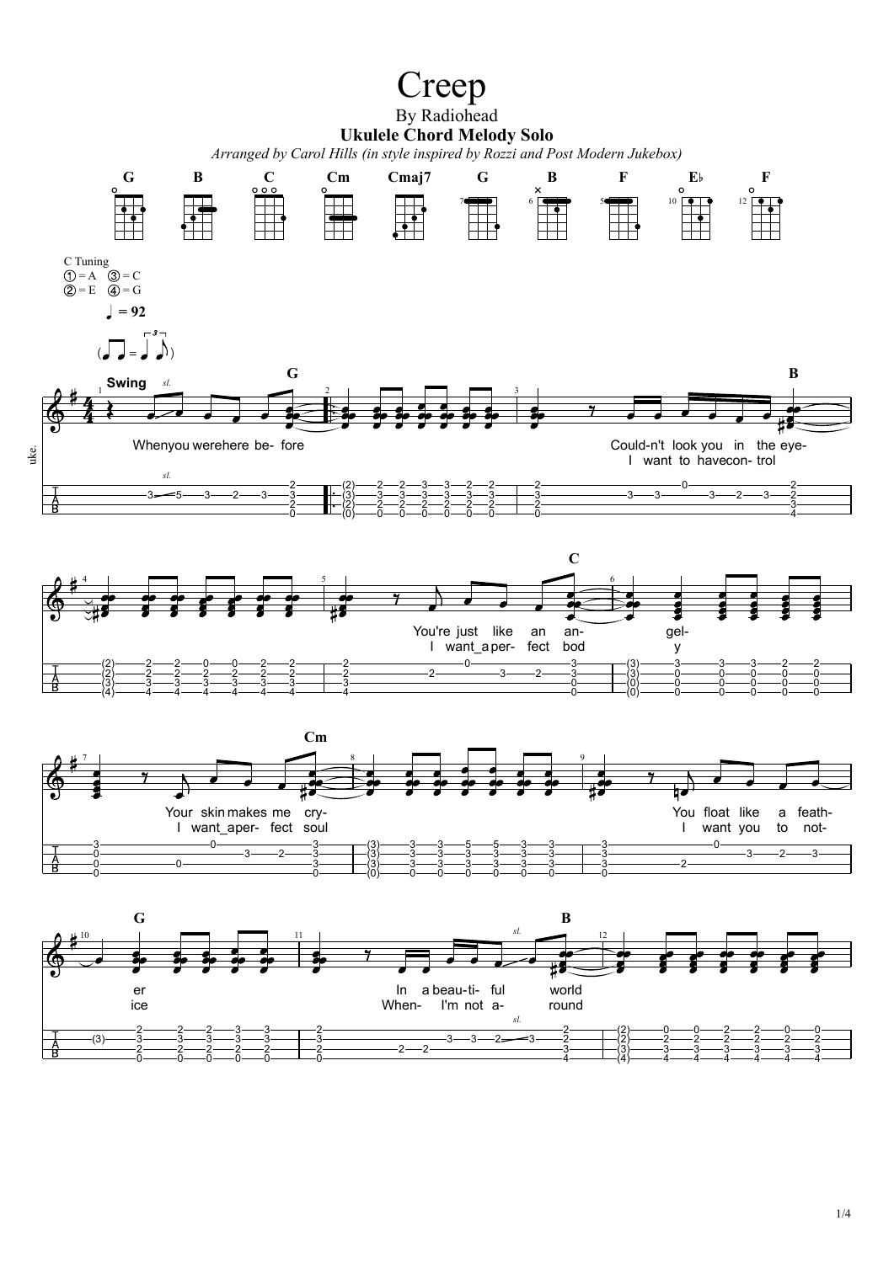## Creep By Radiohead **Ukulele Chord Melody Solo**

*Arranged by Carol Hills (in style inspired by Rozzi and Post Modern Jukebox)*

  $\mathbf{0}$ 



    (3) (0)              $-2-$ 

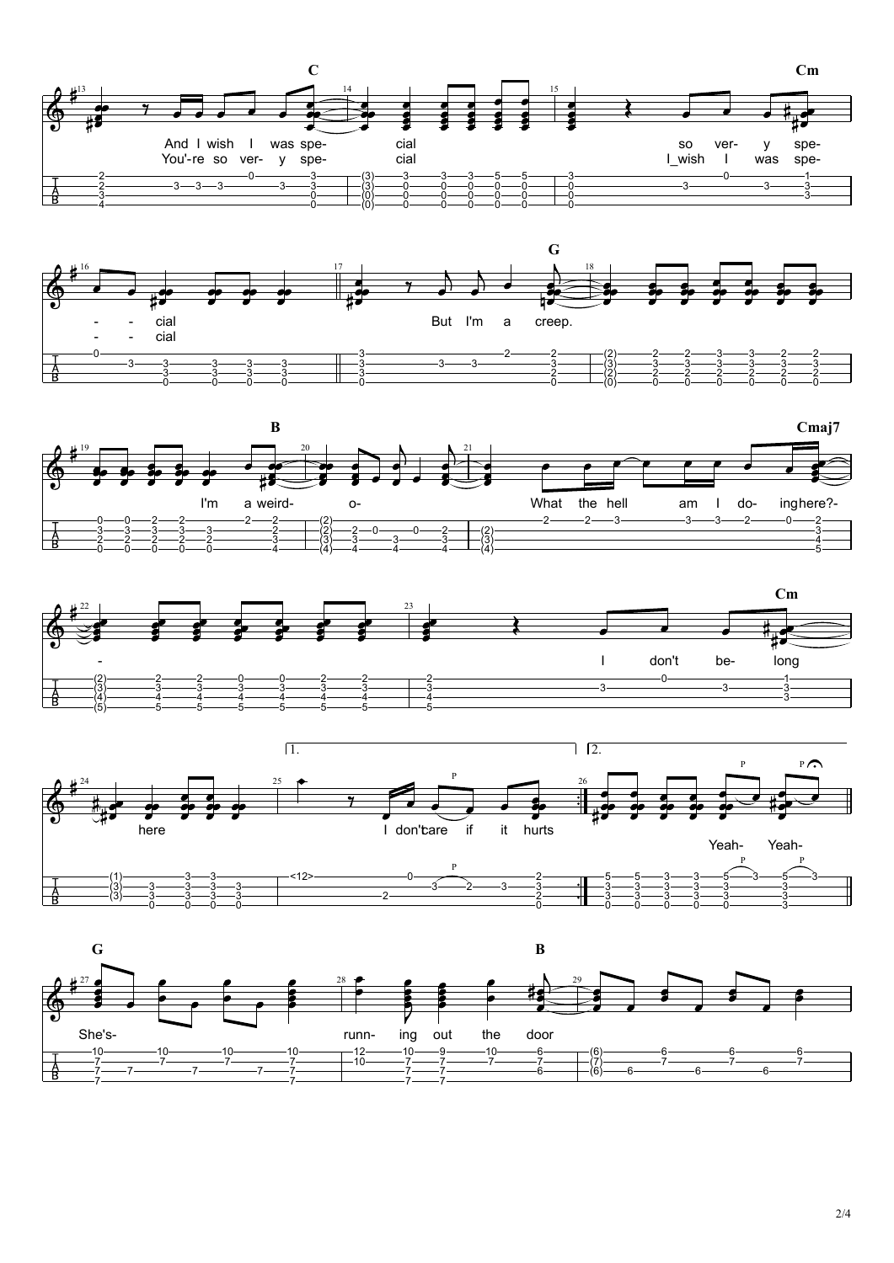







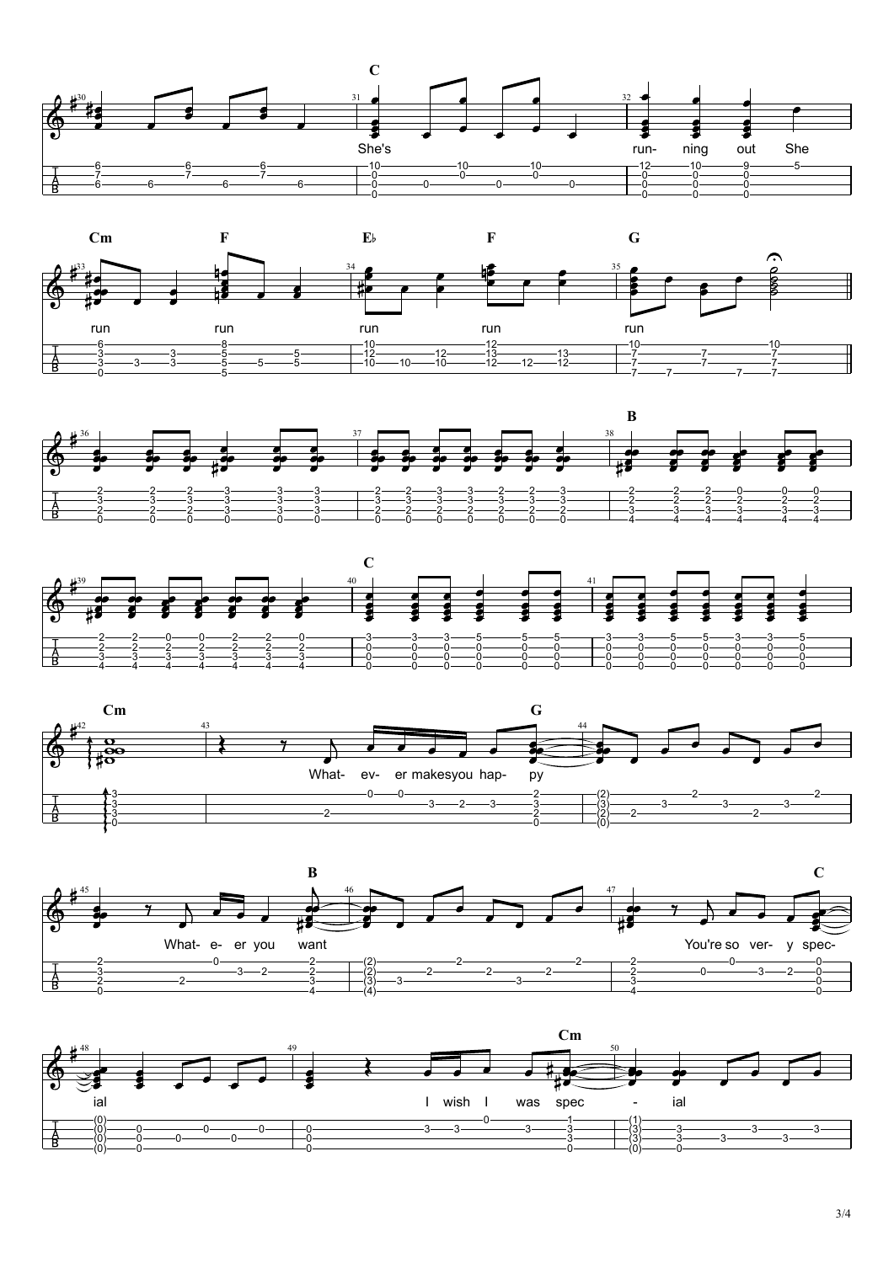









 $\overline{46}$ 

 $\bf{B}$ 

 $\mathbf C$ 



![](_page_2_Figure_9.jpeg)